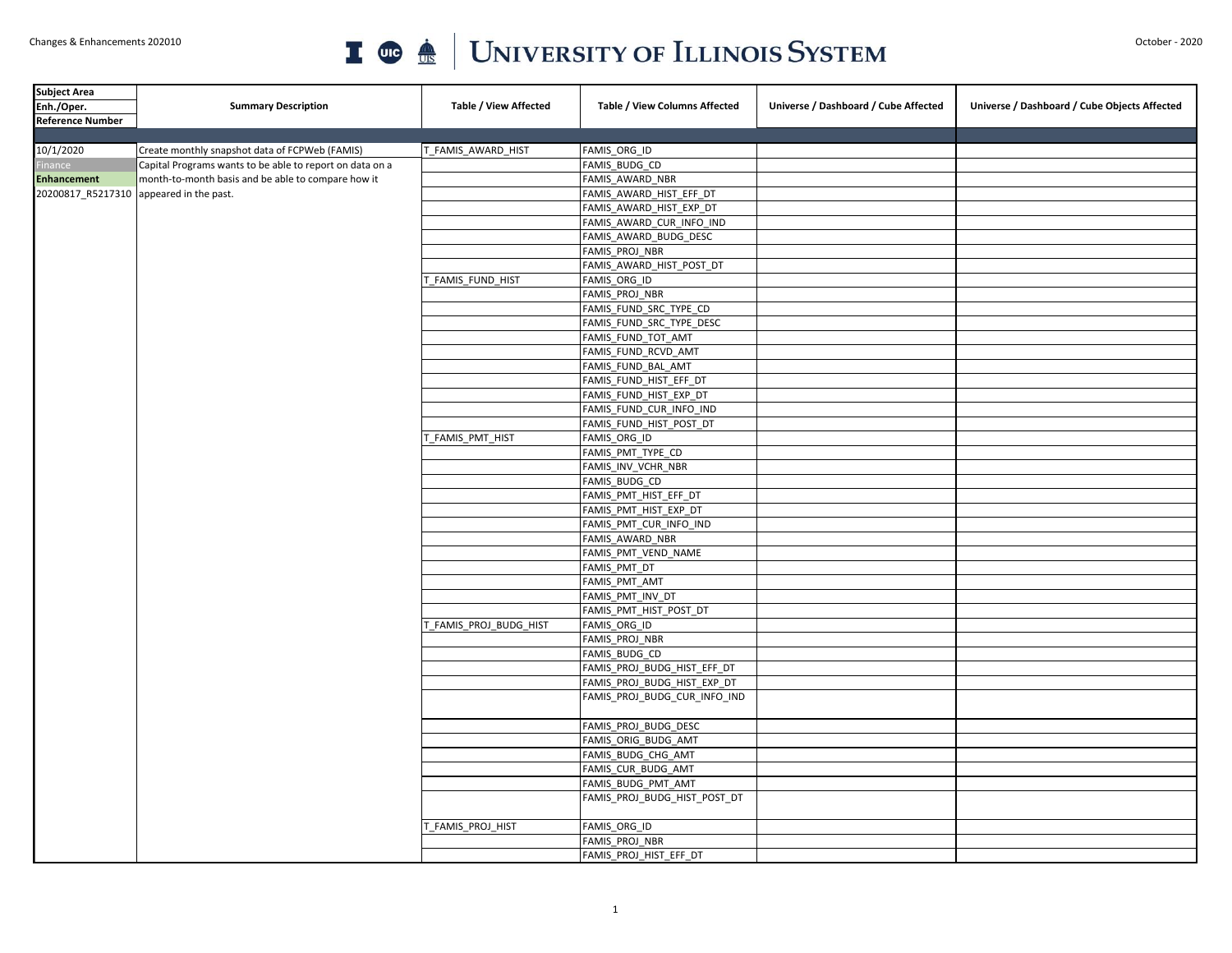## Changes & Enhancements 202010 October - 2020

| <b>Subject Area</b>     |                                                          |                              |                               |                                      |                                              |
|-------------------------|----------------------------------------------------------|------------------------------|-------------------------------|--------------------------------------|----------------------------------------------|
| Enh./Oper.              | <b>Summary Description</b>                               | <b>Table / View Affected</b> | Table / View Columns Affected | Universe / Dashboard / Cube Affected | Universe / Dashboard / Cube Objects Affected |
| <b>Reference Number</b> |                                                          |                              |                               |                                      |                                              |
|                         |                                                          |                              |                               |                                      |                                              |
| 10/1/2020               | Create monthly snapshot data of FCPWeb (FAMIS)           | T_FAMIS_AWARD_HIST           | FAMIS_ORG_ID                  |                                      |                                              |
| inance                  | Capital Programs wants to be able to report on data on a |                              | FAMIS BUDG CD                 |                                      |                                              |
| <b>Enhancement</b>      | month-to-month basis and be able to compare how it       |                              | FAMIS_AWARD_NBR               |                                      |                                              |
| 20200817 R5217310       | appeared in the past.                                    |                              | FAMIS_AWARD_HIST_EFF_DT       |                                      |                                              |
|                         |                                                          |                              | FAMIS_AWARD_HIST_EXP_DT       |                                      |                                              |
|                         |                                                          |                              | FAMIS_AWARD_CUR_INFO_IND      |                                      |                                              |
|                         |                                                          |                              | FAMIS_AWARD_BUDG_DESC         |                                      |                                              |
|                         |                                                          |                              | FAMIS PROJ NBR                |                                      |                                              |
|                         |                                                          |                              | FAMIS_AWARD_HIST_POST_DT      |                                      |                                              |
|                         |                                                          | FAMIS FUND HIST              | FAMIS ORG ID                  |                                      |                                              |
|                         |                                                          |                              | FAMIS_PROJ_NBR                |                                      |                                              |
|                         |                                                          |                              | FAMIS_FUND_SRC_TYPE_CD        |                                      |                                              |
|                         |                                                          |                              | FAMIS_FUND_SRC_TYPE_DESC      |                                      |                                              |
|                         |                                                          |                              | FAMIS FUND TOT AMT            |                                      |                                              |
|                         |                                                          |                              | FAMIS_FUND_RCVD_AMT           |                                      |                                              |
|                         |                                                          |                              | FAMIS_FUND_BAL_AMT            |                                      |                                              |
|                         |                                                          |                              | FAMIS_FUND_HIST_EFF_DT        |                                      |                                              |
|                         |                                                          |                              | FAMIS_FUND_HIST_EXP_DT        |                                      |                                              |
|                         |                                                          |                              | FAMIS_FUND_CUR_INFO_IND       |                                      |                                              |
|                         |                                                          |                              | FAMIS FUND HIST POST DT       |                                      |                                              |
|                         |                                                          | FAMIS PMT HIST               | FAMIS ORG ID                  |                                      |                                              |
|                         |                                                          |                              | FAMIS_PMT_TYPE_CD             |                                      |                                              |
|                         |                                                          |                              | FAMIS_INV_VCHR_NBR            |                                      |                                              |
|                         |                                                          |                              | FAMIS_BUDG_CD                 |                                      |                                              |
|                         |                                                          |                              | FAMIS_PMT_HIST_EFF_DT         |                                      |                                              |
|                         |                                                          |                              | FAMIS PMT HIST EXP DT         |                                      |                                              |
|                         |                                                          |                              | FAMIS PMT CUR INFO IND        |                                      |                                              |
|                         |                                                          |                              | FAMIS AWARD NBR               |                                      |                                              |
|                         |                                                          |                              | FAMIS_PMT_VEND_NAME           |                                      |                                              |
|                         |                                                          |                              | FAMIS_PMT_DT                  |                                      |                                              |
|                         |                                                          |                              | FAMIS PMT AMT                 |                                      |                                              |
|                         |                                                          |                              | FAMIS_PMT_INV_DT              |                                      |                                              |
|                         |                                                          |                              | FAMIS PMT HIST POST DT        |                                      |                                              |
|                         |                                                          | FAMIS PROJ BUDG HIST         | FAMIS ORG ID                  |                                      |                                              |
|                         |                                                          |                              | FAMIS_PROJ_NBR                |                                      |                                              |
|                         |                                                          |                              | FAMIS BUDG CD                 |                                      |                                              |
|                         |                                                          |                              | FAMIS PROJ BUDG HIST EFF DT   |                                      |                                              |
|                         |                                                          |                              | FAMIS_PROJ_BUDG_HIST_EXP_DT   |                                      |                                              |
|                         |                                                          |                              | FAMIS PROJ BUDG CUR INFO IND  |                                      |                                              |
|                         |                                                          |                              |                               |                                      |                                              |
|                         |                                                          |                              | FAMIS PROJ BUDG DESC          |                                      |                                              |
|                         |                                                          |                              | FAMIS_ORIG_BUDG_AMT           |                                      |                                              |
|                         |                                                          |                              | FAMIS BUDG CHG AMT            |                                      |                                              |
|                         |                                                          |                              | FAMIS_CUR_BUDG_AMT            |                                      |                                              |
|                         |                                                          |                              | FAMIS BUDG PMT AMT            |                                      |                                              |
|                         |                                                          |                              | FAMIS_PROJ_BUDG_HIST_POST_DT  |                                      |                                              |
|                         |                                                          |                              |                               |                                      |                                              |
|                         |                                                          | FAMIS_PROJ_HIST              | FAMIS_ORG_ID                  |                                      |                                              |
|                         |                                                          |                              | FAMIS PROJ NBR                |                                      |                                              |
|                         |                                                          |                              | FAMIS_PROJ_HIST_EFF_DT        |                                      |                                              |